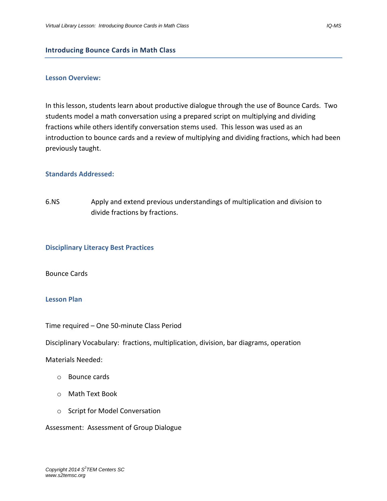#### **Introducing Bounce Cards in Math Class**

#### **Lesson Overview:**

In this lesson, students learn about productive dialogue through the use of Bounce Cards. Two students model a math conversation using a prepared script on multiplying and dividing fractions while others identify conversation stems used. This lesson was used as an introduction to bounce cards and a review of multiplying and dividing fractions, which had been previously taught.

#### **Standards Addressed:**

6.NS Apply and extend previous understandings of multiplication and division to divide fractions by fractions.

#### **Disciplinary Literacy Best Practices**

#### Bounce Cards

### **Lesson Plan**

Time required – One 50-minute Class Period

Disciplinary Vocabulary: fractions, multiplication, division, bar diagrams, operation

Materials Needed:

- o Bounce cards
- o Math Text Book
- o Script for Model Conversation

Assessment: Assessment of Group Dialogue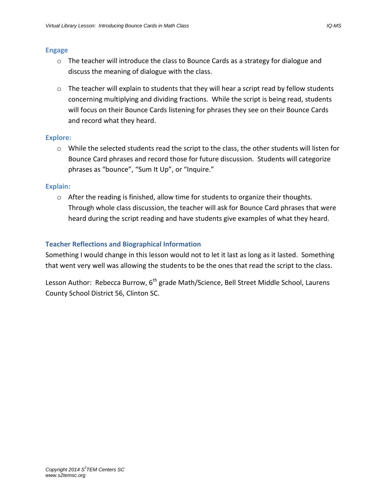### **Engage**

- $\circ$  The teacher will introduce the class to Bounce Cards as a strategy for dialogue and discuss the meaning of dialogue with the class.
- $\circ$  The teacher will explain to students that they will hear a script read by fellow students concerning multiplying and dividing fractions. While the script is being read, students will focus on their Bounce Cards listening for phrases they see on their Bounce Cards and record what they heard.

### **Explore:**

 $\circ$  While the selected students read the script to the class, the other students will listen for Bounce Card phrases and record those for future discussion. Students will categorize phrases as "bounce", "Sum It Up", or "Inquire."

### **Explain:**

 $\circ$  After the reading is finished, allow time for students to organize their thoughts. Through whole class discussion, the teacher will ask for Bounce Card phrases that were heard during the script reading and have students give examples of what they heard.

### **Teacher Reflections and Biographical Information**

Something I would change in this lesson would not to let it last as long as it lasted. Something that went very well was allowing the students to be the ones that read the script to the class.

Lesson Author: Rebecca Burrow,  $6<sup>th</sup>$  grade Math/Science, Bell Street Middle School, Laurens County School District 56, Clinton SC.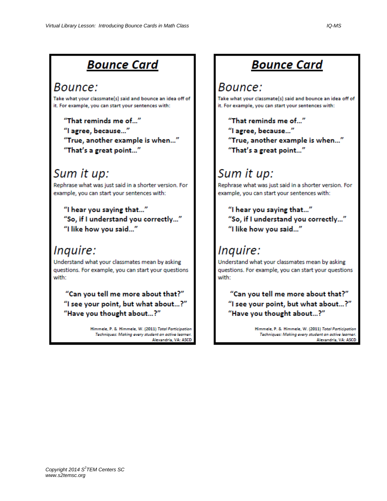## **Bounce Card**

### Bounce:

Take what your classmate(s) said and bounce an idea off of it. For example, you can start your sentences with:

"That reminds me of..." "I agree, because..." "True, another example is when..." "That's a great point..."

## Sum it up:

Rephrase what was just said in a shorter version. For example, you can start your sentences with:

"I hear you saying that..." "So, if I understand you correctly..." "I like how you said..."

### Inquire:

Understand what your classmates mean by asking questions. For example, you can start your questions with:

"Can you tell me more about that?" "I see your point, but what about...?" "Have you thought about...?"

> Himmele, P. & Himmele, W. (2011) Total Participation Techniques: Making every student an active learner. Alexandria, VA: ASCD

# **Bounce Card**

### Bounce:

Take what your classmate(s) said and bounce an idea off of it. For example, you can start your sentences with:

"That reminds me of..." "I agree, because..." "True, another example is when..." "That's a great point..."

# Sum it up:

Rephrase what was just said in a shorter version. For example, you can start your sentences with:

"I hear you saying that..." "So, if I understand you correctly..." "I like how you said..."

# Inquire:

Understand what your classmates mean by asking questions. For example, you can start your questions with:

"Can you tell me more about that?" "I see your point, but what about...?" "Have you thought about...?"

> Himmele, P. & Himmele, W. (2011) Total Participation Techniques: Making every student an active learner. Alexandria, VA: ASCD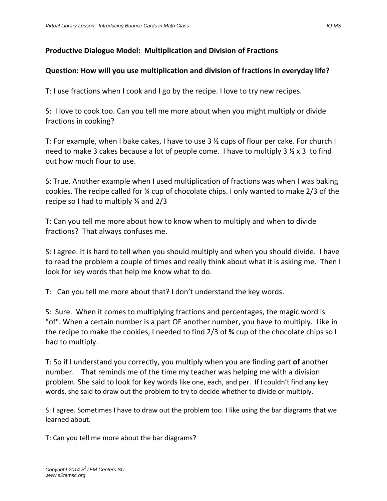### **Productive Dialogue Model: Multiplication and Division of Fractions**

### **Question: How will you use multiplication and division of fractions in everyday life?**

T: I use fractions when I cook and I go by the recipe. I love to try new recipes.

S: I love to cook too. Can you tell me more about when you might multiply or divide fractions in cooking?

T: For example, when I bake cakes, I have to use 3 ½ cups of flour per cake. For church I need to make 3 cakes because a lot of people come. I have to multiply 3 ½ x 3 to find out how much flour to use.

S: True. Another example when I used multiplication of fractions was when I was baking cookies. The recipe called for ¾ cup of chocolate chips. I only wanted to make 2/3 of the recipe so I had to multiply ¾ and 2/3

T: Can you tell me more about how to know when to multiply and when to divide fractions? That always confuses me.

S: I agree. It is hard to tell when you should multiply and when you should divide. I have to read the problem a couple of times and really think about what it is asking me. Then I look for key words that help me know what to do.

T: Can you tell me more about that? I don't understand the key words.

S: Sure. When it comes to multiplying fractions and percentages, the magic word is "of". When a certain number is a part OF another number, you have to multiply. Like in the recipe to make the cookies, I needed to find 2/3 of ¾ cup of the chocolate chips so I had to multiply.

T: So if I understand you correctly, you multiply when you are finding part **of** another number. That reminds me of the time my teacher was helping me with a division problem. She said to look for key words like one, each, and per. If I couldn't find any key words, she said to draw out the problem to try to decide whether to divide or multiply.

S: I agree. Sometimes I have to draw out the problem too. I like using the bar diagrams that we learned about.

T: Can you tell me more about the bar diagrams?